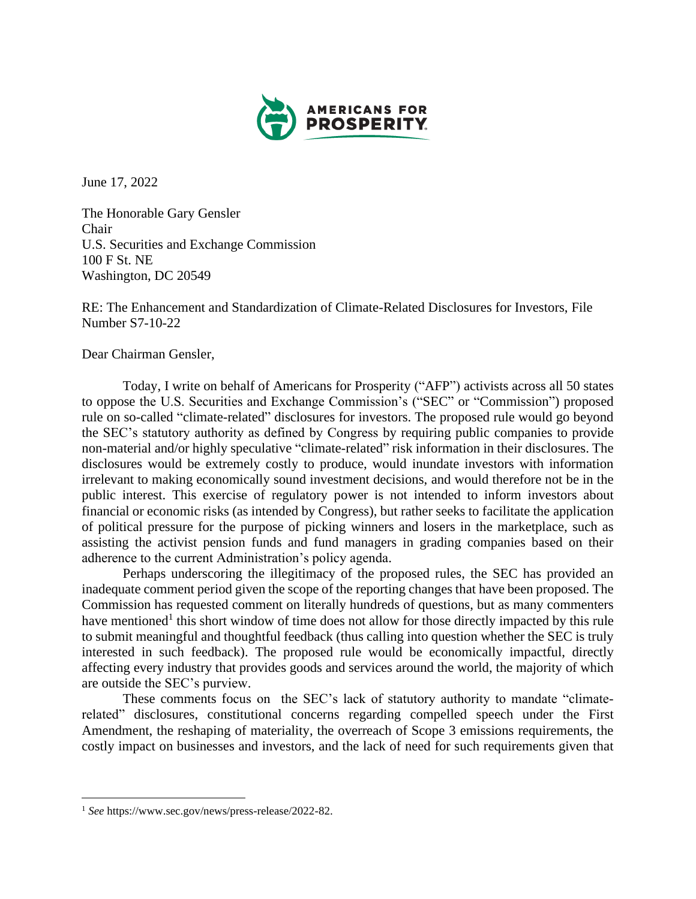

June 17, 2022

The Honorable Gary Gensler Chair U.S. Securities and Exchange Commission 100 F St. NE Washington, DC 20549

RE: The Enhancement and Standardization of Climate-Related Disclosures for Investors, File Number S7-10-22

Dear Chairman Gensler,

Today, I write on behalf of Americans for Prosperity ("AFP") activists across all 50 states to oppose the U.S. Securities and Exchange Commission's ("SEC" or "Commission") proposed rule on so-called "climate-related" disclosures for investors. The proposed rule would go beyond the SEC's statutory authority as defined by Congress by requiring public companies to provide non-material and/or highly speculative "climate-related" risk information in their disclosures. The disclosures would be extremely costly to produce, would inundate investors with information irrelevant to making economically sound investment decisions, and would therefore not be in the public interest. This exercise of regulatory power is not intended to inform investors about financial or economic risks (as intended by Congress), but rather seeks to facilitate the application of political pressure for the purpose of picking winners and losers in the marketplace, such as assisting the activist pension funds and fund managers in grading companies based on their adherence to the current Administration's policy agenda.

Perhaps underscoring the illegitimacy of the proposed rules, the SEC has provided an inadequate comment period given the scope of the reporting changes that have been proposed. The Commission has requested comment on literally hundreds of questions, but as many commenters have mentioned<sup>1</sup> this short window of time does not allow for those directly impacted by this rule to submit meaningful and thoughtful feedback (thus calling into question whether the SEC is truly interested in such feedback). The proposed rule would be economically impactful, directly affecting every industry that provides goods and services around the world, the majority of which are outside the SEC's purview.

These comments focus on the SEC's lack of statutory authority to mandate "climaterelated" disclosures, constitutional concerns regarding compelled speech under the First Amendment, the reshaping of materiality, the overreach of Scope 3 emissions requirements, the costly impact on businesses and investors, and the lack of need for such requirements given that

<sup>1</sup> *See* https://www.sec.gov/news/press-release/2022-82.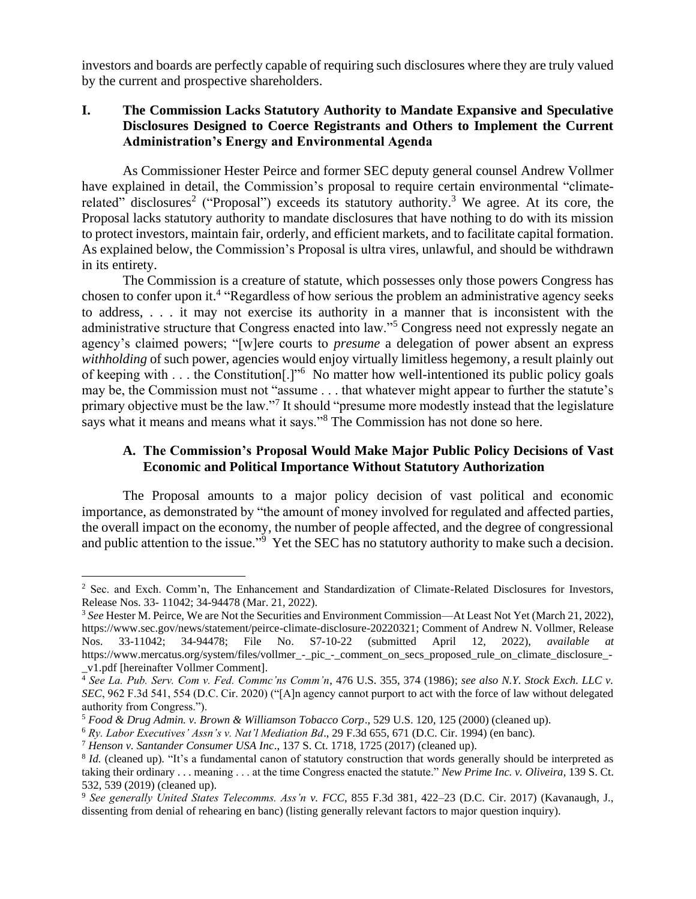investors and boards are perfectly capable of requiring such disclosures where they are truly valued by the current and prospective shareholders.

## **I. The Commission Lacks Statutory Authority to Mandate Expansive and Speculative Disclosures Designed to Coerce Registrants and Others to Implement the Current Administration's Energy and Environmental Agenda**

As Commissioner Hester Peirce and former SEC deputy general counsel Andrew Vollmer have explained in detail, the Commission's proposal to require certain environmental "climaterelated" disclosures<sup>2</sup> ("Proposal") exceeds its statutory authority.<sup>3</sup> We agree. At its core, the Proposal lacks statutory authority to mandate disclosures that have nothing to do with its mission to protect investors, maintain fair, orderly, and efficient markets, and to facilitate capital formation. As explained below, the Commission's Proposal is ultra vires, unlawful, and should be withdrawn in its entirety.

The Commission is a creature of statute, which possesses only those powers Congress has chosen to confer upon it.<sup>4</sup> "Regardless of how serious the problem an administrative agency seeks to address, . . . it may not exercise its authority in a manner that is inconsistent with the administrative structure that Congress enacted into law."<sup>5</sup> Congress need not expressly negate an agency's claimed powers; "[w]ere courts to *presume* a delegation of power absent an express *withholding* of such power, agencies would enjoy virtually limitless hegemony, a result plainly out of keeping with . . . the Constitution<sup>[1] 1,10</sup> No matter how well-intentioned its public policy goals may be, the Commission must not "assume . . . that whatever might appear to further the statute's primary objective must be the law."<sup>7</sup> It should "presume more modestly instead that the legislature says what it means and means what it says."<sup>8</sup> The Commission has not done so here.

### **A. The Commission's Proposal Would Make Major Public Policy Decisions of Vast Economic and Political Importance Without Statutory Authorization**

The Proposal amounts to a major policy decision of vast political and economic importance, as demonstrated by "the amount of money involved for regulated and affected parties, the overall impact on the economy, the number of people affected, and the degree of congressional and public attention to the issue."<sup>9</sup> Yet the SEC has no statutory authority to make such a decision.

<sup>&</sup>lt;sup>2</sup> Sec. and Exch. Comm'n, The Enhancement and Standardization of Climate-Related Disclosures for Investors, Release Nos. 33- 11042; 34-94478 (Mar. 21, 2022).

<sup>3</sup> *See* Hester M. Peirce, We are Not the Securities and Environment Commission—At Least Not Yet (March 21, 2022), [https://www.sec.gov/news/statement/peirce-climate-disclosure-20220321;](https://www.sec.gov/news/statement/peirce-climate-disclosure-20220321) Comment of Andrew N. Vollmer, Release Nos. 33-11042; 34-94478; File No. S7-10-22 (submitted April 12, 2022), *available at* [https://www.mercatus.org/system/files/vollmer\\_-\\_pic\\_-\\_comment\\_on\\_secs\\_proposed\\_rule\\_on\\_climate\\_disclosure\\_-](https://www.mercatus.org/system/files/vollmer_-_pic_-_comment_on_secs_proposed_rule_on_climate_disclosure_-_v1.pdf) [\\_v1.pdf](https://www.mercatus.org/system/files/vollmer_-_pic_-_comment_on_secs_proposed_rule_on_climate_disclosure_-_v1.pdf) [hereinafter Vollmer Comment].

<sup>4</sup> *See La. Pub. Serv. Com v. Fed. Commc'ns Comm'n*, 476 U.S. 355, 374 (1986); *see also N.Y. Stock Exch. LLC v. SEC*, 962 F.3d 541, 554 (D.C. Cir. 2020) ("[A]n agency cannot purport to act with the force of law without delegated authority from Congress.").

<sup>5</sup> *Food & Drug Admin. v. Brown & Williamson Tobacco Corp*., 529 U.S. 120, 125 (2000) (cleaned up).

<sup>6</sup> *Ry. Labor Executives' Assn's v. Nat'l Mediation Bd*., 29 F.3d 655, 671 (D.C. Cir. 1994) (en banc).

<sup>7</sup> *Henson v. Santander Consumer USA Inc*., 137 S. Ct. 1718, 1725 (2017) (cleaned up).

<sup>&</sup>lt;sup>8</sup> *Id.* (cleaned up). "It's a fundamental canon of statutory construction that words generally should be interpreted as taking their ordinary . . . meaning . . . at the time Congress enacted the statute." *New Prime Inc. v. Oliveira*, 139 S. Ct. 532, 539 (2019) (cleaned up).

<sup>9</sup> *See generally United States Telecomms. Ass'n v. FCC*, 855 F.3d 381, 422–23 (D.C. Cir. 2017) (Kavanaugh, J., dissenting from denial of rehearing en banc) (listing generally relevant factors to major question inquiry).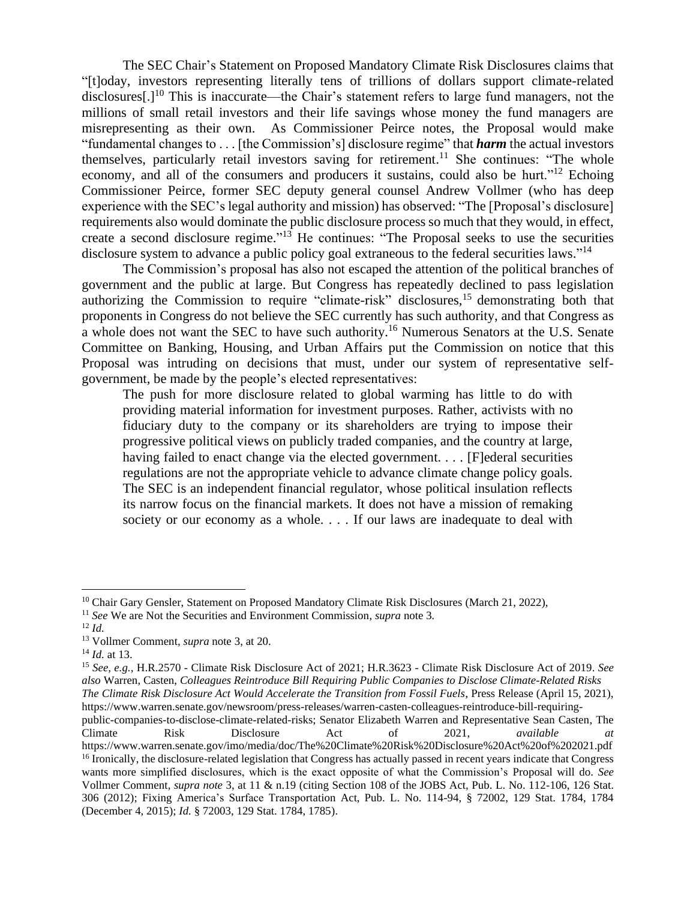The SEC Chair's Statement on Proposed Mandatory Climate Risk Disclosures claims that "[t]oday, investors representing literally tens of trillions of dollars support climate-related disclosures[.]<sup>10</sup> This is inaccurate—the Chair's statement refers to large fund managers, not the millions of small retail investors and their life savings whose money the fund managers are misrepresenting as their own. As Commissioner Peirce notes, the Proposal would make "fundamental changes to . . . [the Commission's] disclosure regime" that *harm* the actual investors themselves, particularly retail investors saving for retirement.<sup>11</sup> She continues: "The whole economy, and all of the consumers and producers it sustains, could also be hurt."<sup>12</sup> Echoing Commissioner Peirce, former SEC deputy general counsel Andrew Vollmer (who has deep experience with the SEC's legal authority and mission) has observed: "The [Proposal's disclosure] requirements also would dominate the public disclosure process so much that they would, in effect, create a second disclosure regime."<sup>13</sup> He continues: "The Proposal seeks to use the securities disclosure system to advance a public policy goal extraneous to the federal securities laws."<sup>14</sup>

The Commission's proposal has also not escaped the attention of the political branches of government and the public at large. But Congress has repeatedly declined to pass legislation authorizing the Commission to require "climate-risk" disclosures,<sup>15</sup> demonstrating both that proponents in Congress do not believe the SEC currently has such authority, and that Congress as a whole does not want the SEC to have such authority. <sup>16</sup> Numerous Senators at the U.S. Senate Committee on Banking, Housing, and Urban Affairs put the Commission on notice that this Proposal was intruding on decisions that must, under our system of representative selfgovernment, be made by the people's elected representatives:

The push for more disclosure related to global warming has little to do with providing material information for investment purposes. Rather, activists with no fiduciary duty to the company or its shareholders are trying to impose their progressive political views on publicly traded companies, and the country at large, having failed to enact change via the elected government. . . . [F]ederal securities regulations are not the appropriate vehicle to advance climate change policy goals. The SEC is an independent financial regulator, whose political insulation reflects its narrow focus on the financial markets. It does not have a mission of remaking society or our economy as a whole. . . . If our laws are inadequate to deal with

<sup>15</sup> *See, e.g.,* H.R.2570 - Climate Risk Disclosure Act of 2021; H.R.3623 - Climate Risk Disclosure Act of 2019. *See also* Warren, Casten, *Colleagues Reintroduce Bill Requiring Public Companies to Disclose Climate-Related Risks The Climate Risk Disclosure Act Would Accelerate the Transition from Fossil Fuels*, Press Release (April 15, 2021), [https://www.warren.senate.gov/newsroom/press-releases/warren-casten-colleagues-reintroduce-bill-requiring-](https://www.warren.senate.gov/newsroom/press-releases/warren-casten-colleagues-reintroduce-bill-requiring-public-companies-to-disclose-climate-related-risks)

[public-companies-to-disclose-climate-related-risks;](https://www.warren.senate.gov/newsroom/press-releases/warren-casten-colleagues-reintroduce-bill-requiring-public-companies-to-disclose-climate-related-risks) Senator Elizabeth Warren and Representative Sean Casten, The Climate Risk Disclosure Act of 2021, *available at*  <https://www.warren.senate.gov/imo/media/doc/The%20Climate%20Risk%20Disclosure%20Act%20of%202021.pdf> <sup>16</sup> Ironically, the disclosure-related legislation that Congress has actually passed in recent years indicate that Congress wants more simplified disclosures, which is the exact opposite of what the Commission's Proposal will do. *See*  Vollmer Comment, *supra note* 3, at 11 & n.19 (citing Section 108 of the JOBS Act, Pub. L. No. 112-106, 126 Stat. 306 (2012); Fixing America's Surface Transportation Act, Pub. L. No. 114-94, § 72002, 129 Stat. 1784, 1784 (December 4, 2015); *Id.* § 72003, 129 Stat. 1784, 1785).

<sup>&</sup>lt;sup>10</sup> Chair Gary Gensler, Statement on Proposed Mandatory Climate Risk Disclosures (March 21, 2022),

<sup>11</sup> *See* We are Not the Securities and Environment Commission, *supra* note 3*.*

<sup>12</sup> *Id.*

<sup>13</sup> Vollmer Comment, *supra* note 3, at 20.

<sup>14</sup> *Id.* at 13.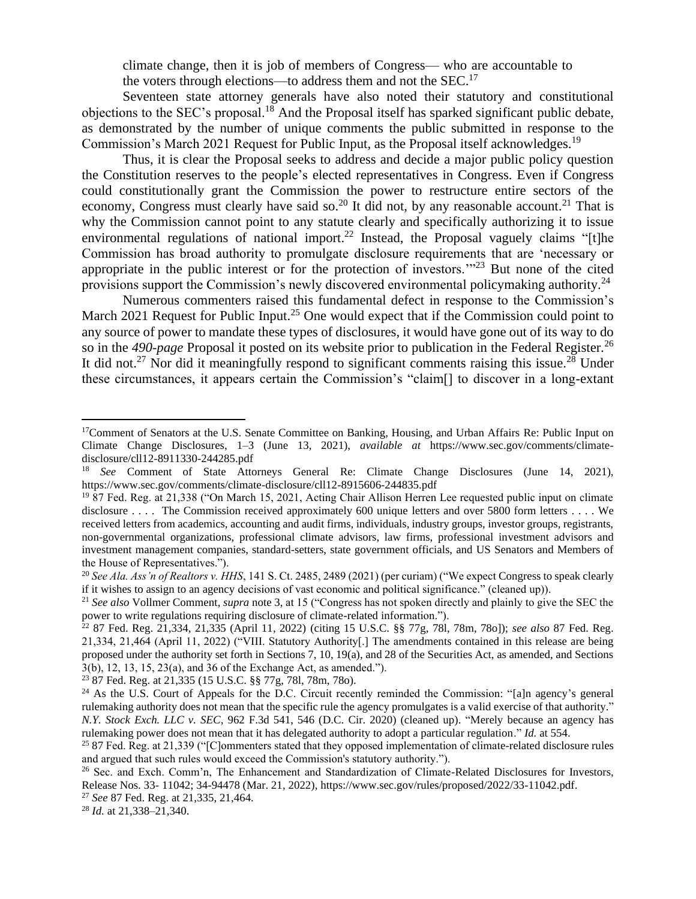climate change, then it is job of members of Congress— who are accountable to the voters through elections—to address them and not the SEC.<sup>17</sup>

Seventeen state attorney generals have also noted their statutory and constitutional objections to the SEC's proposal.<sup>18</sup> And the Proposal itself has sparked significant public debate, as demonstrated by the number of unique comments the public submitted in response to the Commission's March 2021 Request for Public Input, as the Proposal itself acknowledges.<sup>19</sup>

Thus, it is clear the Proposal seeks to address and decide a major public policy question the Constitution reserves to the people's elected representatives in Congress. Even if Congress could constitutionally grant the Commission the power to restructure entire sectors of the economy, Congress must clearly have said so.<sup>20</sup> It did not, by any reasonable account.<sup>21</sup> That is why the Commission cannot point to any statute clearly and specifically authorizing it to issue environmental regulations of national import.<sup>22</sup> Instead, the Proposal vaguely claims "[t]he Commission has broad authority to promulgate disclosure requirements that are 'necessary or appropriate in the public interest or for the protection of investors.'"<sup>23</sup> But none of the cited provisions support the Commission's newly discovered environmental policymaking authority.<sup>24</sup>

Numerous commenters raised this fundamental defect in response to the Commission's March 2021 Request for Public Input.<sup>25</sup> One would expect that if the Commission could point to any source of power to mandate these types of disclosures, it would have gone out of its way to do so in the 490-page Proposal it posted on its website prior to publication in the Federal Register.<sup>26</sup> It did not.<sup>27</sup> Nor did it meaningfully respond to significant comments raising this issue.<sup>28</sup> Under these circumstances, it appears certain the Commission's "claim[] to discover in a long-extant

<sup>23</sup> 87 Fed. Reg. at 21,335 (15 U.S.C. §§ 77g, 78l, 78m, 78o).

<sup>&</sup>lt;sup>17</sup>Comment of Senators at the U.S. Senate Committee on Banking, Housing, and Urban Affairs Re: Public Input on Climate Change Disclosures, 1–3 (June 13, 2021), *available at* https://www.sec.gov/comments/climatedisclosure/cll12-8911330-244285.pdf

<sup>18</sup> *See* Comment of State Attorneys General Re: Climate Change Disclosures (June 14, 2021), https://www.sec.gov/comments/climate-disclosure/cll12-8915606-244835.pdf

<sup>&</sup>lt;sup>19</sup> 87 Fed. Reg. at 21,338 ("On March 15, 2021, Acting Chair Allison Herren Lee requested public input on climate disclosure . . . . The Commission received approximately 600 unique letters and over 5800 form letters . . . . We received letters from academics, accounting and audit firms, individuals, industry groups, investor groups, registrants, non-governmental organizations, professional climate advisors, law firms, professional investment advisors and investment management companies, standard-setters, state government officials, and US Senators and Members of the House of Representatives.").

<sup>&</sup>lt;sup>20</sup> See Ala. Ass'n of Realtors v. HHS, 141 S. Ct. 2485, 2489 (2021) (per curiam) ("We expect Congress to speak clearly if it wishes to assign to an agency decisions of vast economic and political significance." (cleaned up)).

<sup>21</sup> *See also* Vollmer Comment, *supra* note 3, at 15 ("Congress has not spoken directly and plainly to give the SEC the power to write regulations requiring disclosure of climate-related information.").

<sup>22</sup> 87 Fed. Reg. 21,334, 21,335 (April 11, 2022) (citing 15 U.S.C. §§ 77g, 78l, 78m, 78o]); *see also* 87 Fed. Reg. 21,334, 21,464 (April 11, 2022) ("VIII. Statutory Authority[.] The amendments contained in this release are being proposed under the authority set forth in Sections 7, 10, 19(a), and 28 of the Securities Act, as amended, and Sections 3(b), 12, 13, 15, 23(a), and 36 of the Exchange Act, as amended.").

<sup>&</sup>lt;sup>24</sup> As the U.S. Court of Appeals for the D.C. Circuit recently reminded the Commission: "[a]n agency's general rulemaking authority does not mean that the specific rule the agency promulgates is a valid exercise of that authority." *N.Y. Stock Exch. LLC v. SEC*, 962 F.3d 541, 546 (D.C. Cir. 2020) (cleaned up). "Merely because an agency has rulemaking power does not mean that it has delegated authority to adopt a particular regulation." *Id.* at 554.

<sup>&</sup>lt;sup>25</sup> 87 Fed. Reg. at 21,339 ("[C]ommenters stated that they opposed implementation of climate-related disclosure rules and argued that such rules would exceed the Commission's statutory authority.").

<sup>&</sup>lt;sup>26</sup> Sec. and Exch. Comm'n, The Enhancement and Standardization of Climate-Related Disclosures for Investors, Release Nos. 33- 11042; 34-94478 (Mar. 21, 2022), [https://www.sec.gov/rules/proposed/2022/33-11042.pdf.](https://www.sec.gov/rules/proposed/2022/33-11042.pdf)

<sup>27</sup> *See* 87 Fed. Reg. at 21,335, 21,464.

<sup>28</sup> *Id.* at 21,338–21,340.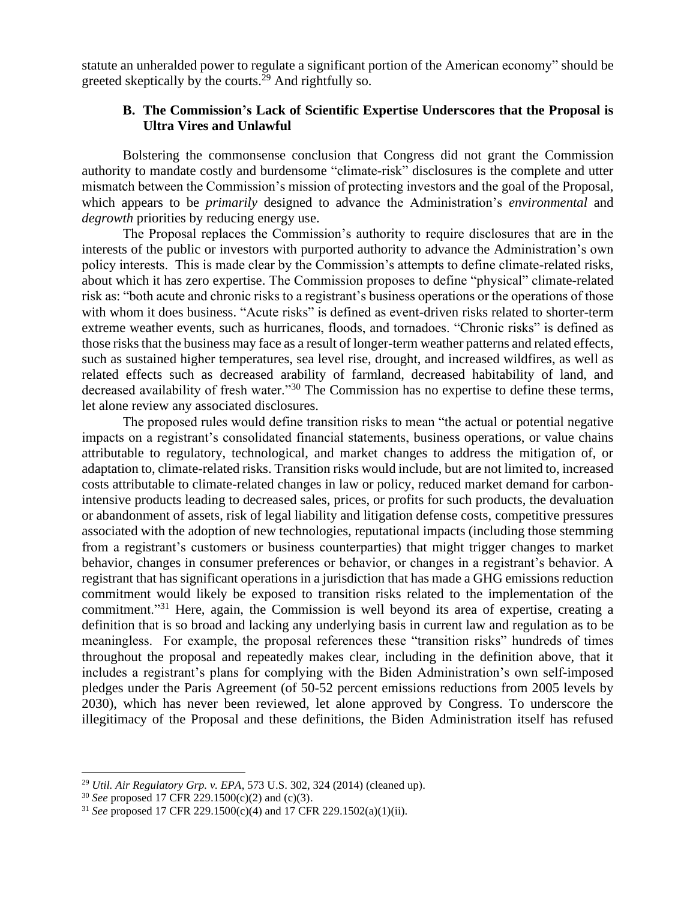statute an unheralded power to regulate a significant portion of the American economy" should be greeted skeptically by the courts.<sup>29</sup> And rightfully so.

#### **B. The Commission's Lack of Scientific Expertise Underscores that the Proposal is Ultra Vires and Unlawful**

Bolstering the commonsense conclusion that Congress did not grant the Commission authority to mandate costly and burdensome "climate-risk" disclosures is the complete and utter mismatch between the Commission's mission of protecting investors and the goal of the Proposal, which appears to be *primarily* designed to advance the Administration's *environmental* and *degrowth* priorities by reducing energy use.

The Proposal replaces the Commission's authority to require disclosures that are in the interests of the public or investors with purported authority to advance the Administration's own policy interests. This is made clear by the Commission's attempts to define climate-related risks, about which it has zero expertise. The Commission proposes to define "physical" climate-related risk as: "both acute and chronic risks to a registrant's business operations or the operations of those with whom it does business. "Acute risks" is defined as event-driven risks related to shorter-term extreme weather events, such as hurricanes, floods, and tornadoes. "Chronic risks" is defined as those risks that the business may face as a result of longer-term weather patterns and related effects, such as sustained higher temperatures, sea level rise, drought, and increased wildfires, as well as related effects such as decreased arability of farmland, decreased habitability of land, and decreased availability of fresh water."<sup>30</sup> The Commission has no expertise to define these terms, let alone review any associated disclosures.

The proposed rules would define transition risks to mean "the actual or potential negative impacts on a registrant's consolidated financial statements, business operations, or value chains attributable to regulatory, technological, and market changes to address the mitigation of, or adaptation to, climate-related risks. Transition risks would include, but are not limited to, increased costs attributable to climate-related changes in law or policy, reduced market demand for carbonintensive products leading to decreased sales, prices, or profits for such products, the devaluation or abandonment of assets, risk of legal liability and litigation defense costs, competitive pressures associated with the adoption of new technologies, reputational impacts (including those stemming from a registrant's customers or business counterparties) that might trigger changes to market behavior, changes in consumer preferences or behavior, or changes in a registrant's behavior. A registrant that has significant operations in a jurisdiction that has made a GHG emissions reduction commitment would likely be exposed to transition risks related to the implementation of the commitment."<sup>31</sup> Here, again, the Commission is well beyond its area of expertise, creating a definition that is so broad and lacking any underlying basis in current law and regulation as to be meaningless. For example, the proposal references these "transition risks" hundreds of times throughout the proposal and repeatedly makes clear, including in the definition above, that it includes a registrant's plans for complying with the Biden Administration's own self-imposed pledges under the Paris Agreement (of 50-52 percent emissions reductions from 2005 levels by 2030), which has never been reviewed, let alone approved by Congress. To underscore the illegitimacy of the Proposal and these definitions, the Biden Administration itself has refused

<sup>29</sup> *Util. Air Regulatory Grp. v. EPA*, 573 U.S. 302, 324 (2014) (cleaned up).

<sup>30</sup> *See* proposed 17 CFR 229.1500(c)(2) and (c)(3).

<sup>31</sup> *See* proposed 17 CFR 229.1500(c)(4) and 17 CFR 229.1502(a)(1)(ii).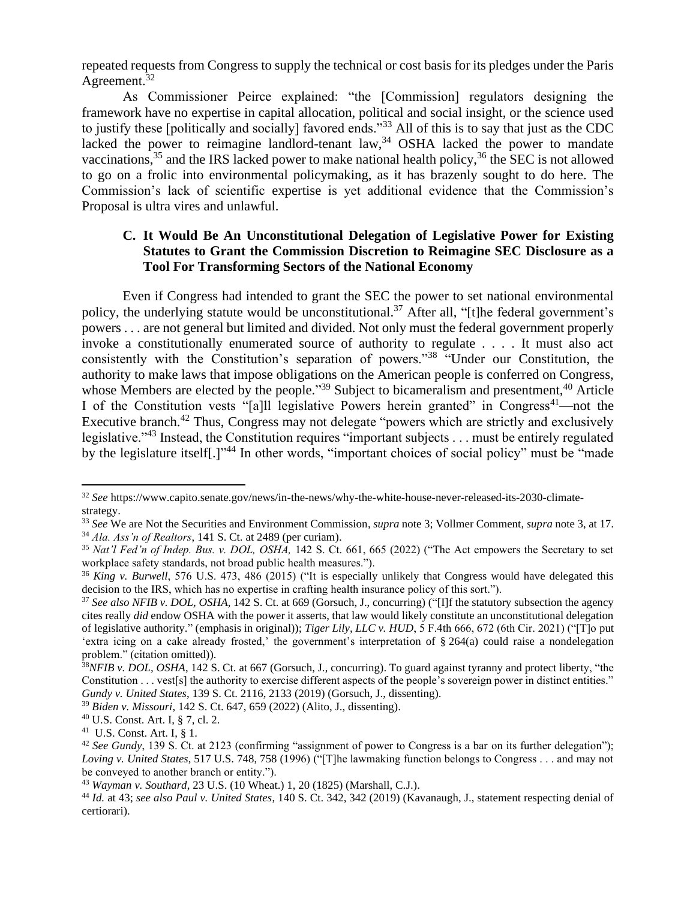repeated requests from Congress to supply the technical or cost basis for its pledges under the Paris Agreement. $32$ 

As Commissioner Peirce explained: "the [Commission] regulators designing the framework have no expertise in capital allocation, political and social insight, or the science used to justify these [politically and socially] favored ends."<sup>33</sup> All of this is to say that just as the CDC lacked the power to reimagine landlord-tenant law,<sup>34</sup> OSHA lacked the power to mandate vaccinations,  $35$  and the IRS lacked power to make national health policy,  $36$  the SEC is not allowed to go on a frolic into environmental policymaking, as it has brazenly sought to do here. The Commission's lack of scientific expertise is yet additional evidence that the Commission's Proposal is ultra vires and unlawful.

## **C. It Would Be An Unconstitutional Delegation of Legislative Power for Existing Statutes to Grant the Commission Discretion to Reimagine SEC Disclosure as a Tool For Transforming Sectors of the National Economy**

Even if Congress had intended to grant the SEC the power to set national environmental policy, the underlying statute would be unconstitutional.<sup>37</sup> After all, "[t]he federal government's powers . . . are not general but limited and divided. Not only must the federal government properly invoke a constitutionally enumerated source of authority to regulate . . . . It must also act consistently with the Constitution's separation of powers."<sup>38</sup> "Under our Constitution, the authority to make laws that impose obligations on the American people is conferred on Congress, whose Members are elected by the people."<sup>39</sup> Subject to bicameralism and presentment,<sup>40</sup> Article I of the Constitution vests "[a]ll legislative Powers herein granted" in Congress<sup>41</sup>—not the Executive branch.<sup>42</sup> Thus, Congress may not delegate "powers which are strictly and exclusively legislative."<sup>43</sup> Instead, the Constitution requires "important subjects . . . must be entirely regulated by the legislature itself[.]"<sup>44</sup> In other words, "important choices of social policy" must be "made

<sup>32</sup> *See* [https://www.capito.senate.gov/news/in-the-news/why-the-white-house-never-released-its-2030-climate](https://www.capito.senate.gov/news/in-the-news/why-the-white-house-never-released-its-2030-climate-strategy)[strategy.](https://www.capito.senate.gov/news/in-the-news/why-the-white-house-never-released-its-2030-climate-strategy)

<sup>33</sup> *See* We are Not the Securities and Environment Commission, *supra* note 3; Vollmer Comment, *supra* note 3, at 17. <sup>34</sup> *Ala. Ass'n of Realtors*, 141 S. Ct. at 2489 (per curiam).

<sup>35</sup> *Nat'l Fed'n of Indep. Bus. v. DOL, OSHA,* 142 S. Ct. 661, 665 (2022) ("The Act empowers the Secretary to set workplace safety standards, not broad public health measures.").

<sup>36</sup> *King v. Burwell*, 576 U.S. 473, 486 (2015) ("It is especially unlikely that Congress would have delegated this decision to the IRS, which has no expertise in crafting health insurance policy of this sort.").

<sup>37</sup> *See also NFIB v. DOL, OSHA*, 142 S. Ct. at 669 (Gorsuch, J., concurring) ("[I]f the statutory subsection the agency cites really *did* endow OSHA with the power it asserts, that law would likely constitute an unconstitutional delegation of legislative authority." (emphasis in original)); *Tiger Lily, LLC v. HUD*, 5 F.4th 666, 672 (6th Cir. 2021) ("[T]o put 'extra icing on a cake already frosted,' the government's interpretation of § 264(a) could raise a nondelegation problem." (citation omitted)).

<sup>38</sup>*NFIB v. DOL, OSHA*, 142 S. Ct. at 667 (Gorsuch, J., concurring). To guard against tyranny and protect liberty, "the Constitution . . . vest[s] the authority to exercise different aspects of the people's sovereign power in distinct entities." *Gundy v. United States*, 139 S. Ct. 2116, 2133 (2019) (Gorsuch, J., dissenting).

<sup>39</sup> *Biden v. Missouri*, 142 S. Ct. 647, 659 (2022) (Alito, J., dissenting).

<sup>40</sup> U.S. Const. Art. I, § 7, cl. 2.

<sup>41</sup> U.S. Const. Art. I, § 1.

<sup>42</sup> *See Gundy*, 139 S. Ct. at 2123 (confirming "assignment of power to Congress is a bar on its further delegation"); *Loving v. United States*, 517 U.S. 748, 758 (1996) ("[T]he lawmaking function belongs to Congress . . . and may not be conveyed to another branch or entity.").

<sup>43</sup> *Wayman v. Southard*, 23 U.S. (10 Wheat.) 1, 20 (1825) (Marshall, C.J.).

<sup>44</sup> *Id.* at 43; *see also Paul v. United States*, 140 S. Ct. 342, 342 (2019) (Kavanaugh, J., statement respecting denial of certiorari).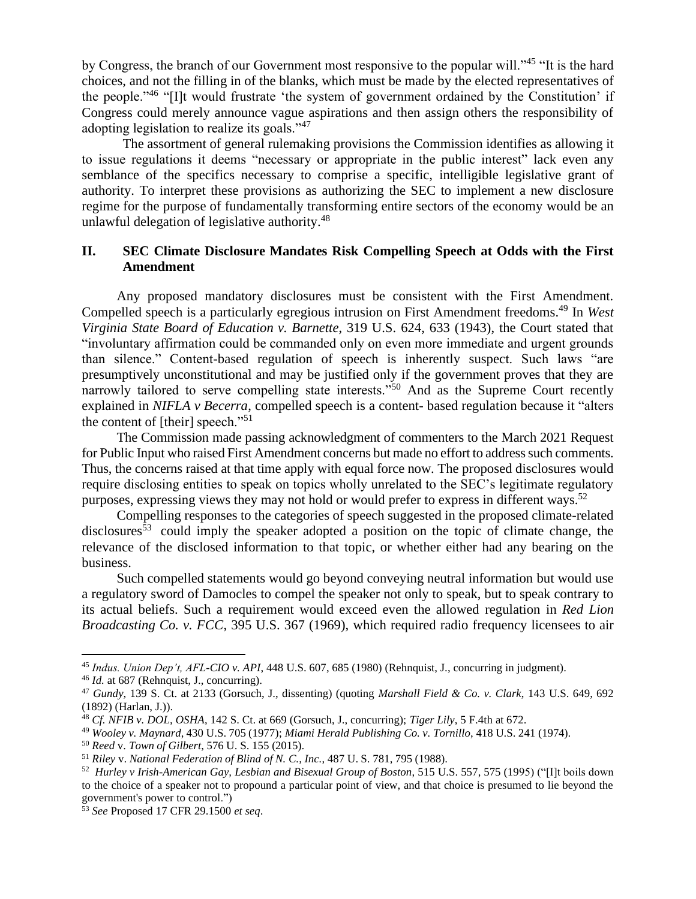by Congress, the branch of our Government most responsive to the popular will."<sup>45</sup> "It is the hard choices, and not the filling in of the blanks, which must be made by the elected representatives of the people."<sup>46</sup> "[I]t would frustrate 'the system of government ordained by the Constitution' if Congress could merely announce vague aspirations and then assign others the responsibility of adopting legislation to realize its goals."<sup>47</sup>

The assortment of general rulemaking provisions the Commission identifies as allowing it to issue regulations it deems "necessary or appropriate in the public interest" lack even any semblance of the specifics necessary to comprise a specific, intelligible legislative grant of authority. To interpret these provisions as authorizing the SEC to implement a new disclosure regime for the purpose of fundamentally transforming entire sectors of the economy would be an unlawful delegation of legislative authority.<sup>48</sup>

### **II. SEC Climate Disclosure Mandates Risk Compelling Speech at Odds with the First Amendment**

Any proposed mandatory disclosures must be consistent with the First Amendment. Compelled speech is a particularly egregious intrusion on First Amendment freedoms.<sup>49</sup> In *West Virginia State Board of Education v. Barnette*, 319 U.S. 624, 633 (1943), the Court stated that "involuntary affirmation could be commanded only on even more immediate and urgent grounds than silence." Content-based regulation of speech is inherently suspect. Such laws "are presumptively unconstitutional and may be justified only if the government proves that they are narrowly tailored to serve compelling state interests."<sup>50</sup> And as the Supreme Court recently explained in *NIFLA v Becerra*, compelled speech is a content- based regulation because it "alters the content of [their] speech."<sup>51</sup>

The Commission made passing acknowledgment of commenters to the March 2021 Request for Public Input who raised First Amendment concerns but made no effort to address such comments. Thus, the concerns raised at that time apply with equal force now. The proposed disclosures would require disclosing entities to speak on topics wholly unrelated to the SEC's legitimate regulatory purposes, expressing views they may not hold or would prefer to express in different ways.<sup>52</sup>

Compelling responses to the categories of speech suggested in the proposed climate-related disclosures<sup>53</sup> could imply the speaker adopted a position on the topic of climate change, the relevance of the disclosed information to that topic, or whether either had any bearing on the business.

Such compelled statements would go beyond conveying neutral information but would use a regulatory sword of Damocles to compel the speaker not only to speak, but to speak contrary to its actual beliefs. Such a requirement would exceed even the allowed regulation in *Red Lion Broadcasting Co. v. FCC*, 395 U.S. 367 (1969), which required radio frequency licensees to air

<sup>45</sup> *Indus. Union Dep't, AFL-CIO v. API*, 448 U.S. 607, 685 (1980) (Rehnquist, J., concurring in judgment).

<sup>46</sup> *Id.* at 687 (Rehnquist, J., concurring).

<sup>47</sup> *Gundy*, 139 S. Ct. at 2133 (Gorsuch, J., dissenting) (quoting *Marshall Field & Co. v. Clark*, 143 U.S. 649, 692 (1892) (Harlan, J.)).

<sup>48</sup> *Cf. NFIB v. DOL, OSHA*, 142 S. Ct. at 669 (Gorsuch, J., concurring); *Tiger Lily*, 5 F.4th at 672.

<sup>49</sup> *Wooley v. Maynard*, 430 U.S. 705 (1977); *Miami Herald Publishing Co. v. Tornillo*, 418 U.S. 241 (1974).

<sup>50</sup> *Reed* v. *Town of Gilbert*, 576 U. S. 155 (2015).

<sup>51</sup> *Riley* v. *National Federation of Blind of N. C., Inc.*, 487 U. S. 781, 795 (1988).

<sup>52</sup> *Hurley v Irish-American Gay, Lesbian and Bisexual Group of Boston*, 515 U.S. 557, 575 (1995) ("[I]t boils down to the choice of a speaker not to propound a particular point of view, and that choice is presumed to lie beyond the government's power to control.")

<sup>53</sup> *See* Proposed 17 CFR 29.1500 *et seq*.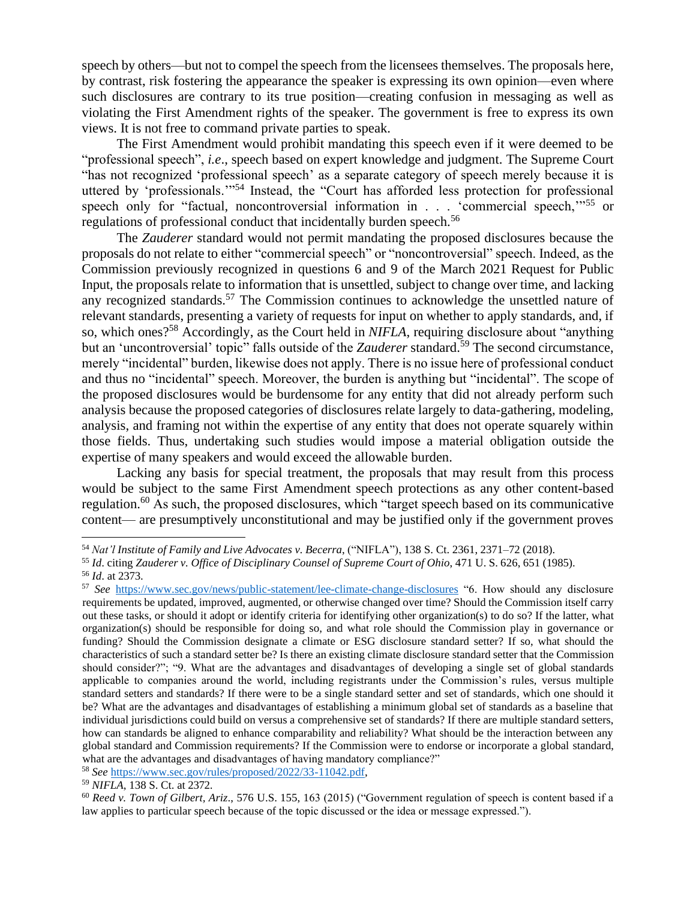speech by others—but not to compel the speech from the licensees themselves. The proposals here, by contrast, risk fostering the appearance the speaker is expressing its own opinion—even where such disclosures are contrary to its true position—creating confusion in messaging as well as violating the First Amendment rights of the speaker. The government is free to express its own views. It is not free to command private parties to speak.

The First Amendment would prohibit mandating this speech even if it were deemed to be "professional speech", *i.e*., speech based on expert knowledge and judgment. The Supreme Court "has not recognized 'professional speech' as a separate category of speech merely because it is uttered by 'professionals.'"<sup>54</sup> Instead, the "Court has afforded less protection for professional speech only for "factual, noncontroversial information in . . . 'commercial speech,"<sup>55</sup> or regulations of professional conduct that incidentally burden speech.<sup>56</sup>

The *Zauderer* standard would not permit mandating the proposed disclosures because the proposals do not relate to either "commercial speech" or "noncontroversial" speech. Indeed, as the Commission previously recognized in questions 6 and 9 of the March 2021 Request for Public Input, the proposals relate to information that is unsettled, subject to change over time, and lacking any recognized standards.<sup>57</sup> The Commission continues to acknowledge the unsettled nature of relevant standards, presenting a variety of requests for input on whether to apply standards, and, if so, which ones?<sup>58</sup> Accordingly, as the Court held in *NIFLA*, requiring disclosure about "anything but an 'uncontroversial' topic" falls outside of the *Zauderer* standard.<sup>59</sup> The second circumstance, merely "incidental" burden, likewise does not apply. There is no issue here of professional conduct and thus no "incidental" speech. Moreover, the burden is anything but "incidental". The scope of the proposed disclosures would be burdensome for any entity that did not already perform such analysis because the proposed categories of disclosures relate largely to data-gathering, modeling, analysis, and framing not within the expertise of any entity that does not operate squarely within those fields. Thus, undertaking such studies would impose a material obligation outside the expertise of many speakers and would exceed the allowable burden.

Lacking any basis for special treatment, the proposals that may result from this process would be subject to the same First Amendment speech protections as any other content-based regulation.<sup>60</sup> As such, the proposed disclosures, which "target speech based on its communicative content— are presumptively unconstitutional and may be justified only if the government proves

<sup>58</sup> *See* [https://www.sec.gov/rules/proposed/2022/33-11042.pdf,](https://www.sec.gov/rules/proposed/2022/33-11042.pdf)

<sup>54</sup> *Nat'l Institute of Family and Live Advocates v. Becerra*, ("NIFLA"), 138 S. Ct. 2361, 2371–72 (2018).

<sup>55</sup> *Id*. citing *Zauderer v. Office of Disciplinary Counsel of Supreme Court of Ohio*, 471 U. S. 626, 651 (1985). <sup>56</sup> *Id*. at 2373.

<sup>57</sup> *See* <https://www.sec.gov/news/public-statement/lee-climate-change-disclosures> "6. How should any disclosure requirements be updated, improved, augmented, or otherwise changed over time? Should the Commission itself carry out these tasks, or should it adopt or identify criteria for identifying other organization(s) to do so? If the latter, what organization(s) should be responsible for doing so, and what role should the Commission play in governance or funding? Should the Commission designate a climate or ESG disclosure standard setter? If so, what should the characteristics of such a standard setter be? Is there an existing climate disclosure standard setter that the Commission should consider?"; "9. What are the advantages and disadvantages of developing a single set of global standards applicable to companies around the world, including registrants under the Commission's rules, versus multiple standard setters and standards? If there were to be a single standard setter and set of standards, which one should it be? What are the advantages and disadvantages of establishing a minimum global set of standards as a baseline that individual jurisdictions could build on versus a comprehensive set of standards? If there are multiple standard setters, how can standards be aligned to enhance comparability and reliability? What should be the interaction between any global standard and Commission requirements? If the Commission were to endorse or incorporate a global standard, what are the advantages and disadvantages of having mandatory compliance?"

<sup>59</sup> *NIFLA*, 138 S. Ct. at 2372.

<sup>60</sup> *Reed v. Town of Gilbert, Ariz*., 576 U.S. 155, 163 (2015) ("Government regulation of speech is content based if a law applies to particular speech because of the topic discussed or the idea or message expressed.").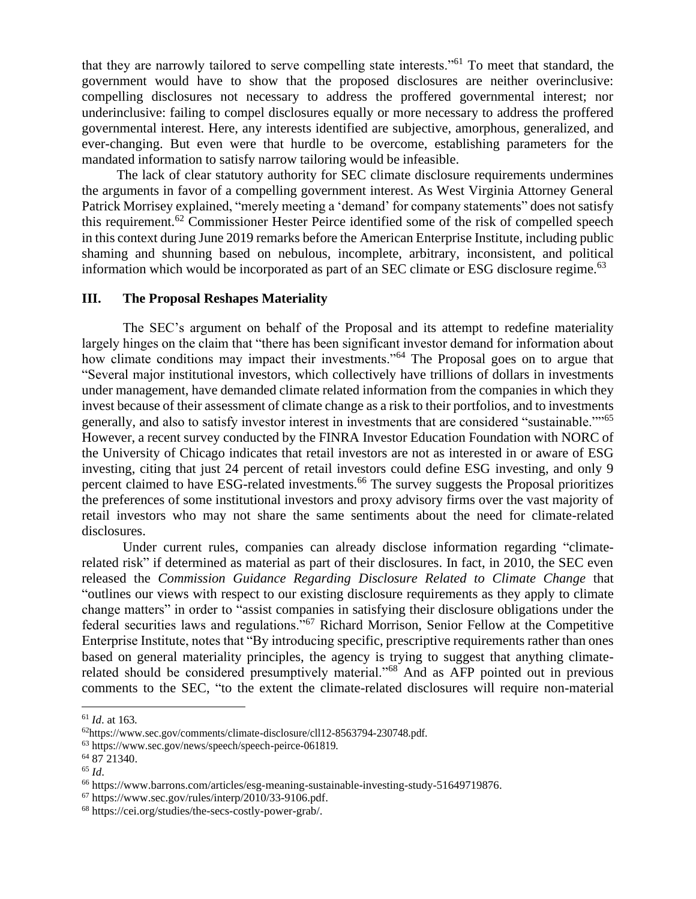that they are narrowly tailored to serve compelling state interests."<sup>61</sup> To meet that standard, the government would have to show that the proposed disclosures are neither overinclusive: compelling disclosures not necessary to address the proffered governmental interest; nor underinclusive: failing to compel disclosures equally or more necessary to address the proffered governmental interest. Here, any interests identified are subjective, amorphous, generalized, and ever-changing. But even were that hurdle to be overcome, establishing parameters for the mandated information to satisfy narrow tailoring would be infeasible.

The lack of clear statutory authority for SEC climate disclosure requirements undermines the arguments in favor of a compelling government interest. As West Virginia Attorney General Patrick Morrisey explained, "merely meeting a 'demand' for company statements" does not satisfy this requirement.<sup>62</sup> Commissioner Hester Peirce identified some of the risk of compelled speech in this context during June 2019 remarks before the American Enterprise Institute, including public shaming and shunning based on nebulous, incomplete, arbitrary, inconsistent, and political information which would be incorporated as part of an SEC climate or ESG disclosure regime.<sup>63</sup>

#### **III. The Proposal Reshapes Materiality**

The SEC's argument on behalf of the Proposal and its attempt to redefine materiality largely hinges on the claim that "there has been significant investor demand for information about how climate conditions may impact their investments."<sup>64</sup> The Proposal goes on to argue that "Several major institutional investors, which collectively have trillions of dollars in investments under management, have demanded climate related information from the companies in which they invest because of their assessment of climate change as a risk to their portfolios, and to investments generally, and also to satisfy investor interest in investments that are considered "sustainable.""<sup>65</sup> However, a recent survey conducted by the FINRA Investor Education Foundation with NORC of the University of Chicago indicates that retail investors are not as interested in or aware of ESG investing, citing that just 24 percent of retail investors could define ESG investing, and only 9 percent claimed to have ESG-related investments.<sup>66</sup> The survey suggests the Proposal prioritizes the preferences of some institutional investors and proxy advisory firms over the vast majority of retail investors who may not share the same sentiments about the need for climate-related disclosures.

Under current rules, companies can already disclose information regarding "climaterelated risk" if determined as material as part of their disclosures. In fact, in 2010, the SEC even released the *Commission Guidance Regarding Disclosure Related to Climate Change* that "outlines our views with respect to our existing disclosure requirements as they apply to climate change matters" in order to "assist companies in satisfying their disclosure obligations under the federal securities laws and regulations."<sup>67</sup> Richard Morrison, Senior Fellow at the Competitive Enterprise Institute, notes that "By introducing specific, prescriptive requirements rather than ones based on general materiality principles, the agency is trying to suggest that anything climaterelated should be considered presumptively material."<sup>68</sup> And as AFP pointed out in previous comments to the SEC, "to the extent the climate-related disclosures will require non-material

<sup>61</sup> *Id*. at 163.

<sup>62</sup>https://www.sec.gov/comments/climate-disclosure/cll12-8563794-230748.pdf.

<sup>63</sup> https://www.sec.gov/news/speech/speech-peirce-061819.

<sup>64</sup> 87 21340.

<sup>65</sup> *Id*.

<sup>66</sup> https://www.barrons.com/articles/esg-meaning-sustainable-investing-study-51649719876.

<sup>67</sup> https://www.sec.gov/rules/interp/2010/33-9106.pdf.

<sup>68</sup> https://cei.org/studies/the-secs-costly-power-grab/.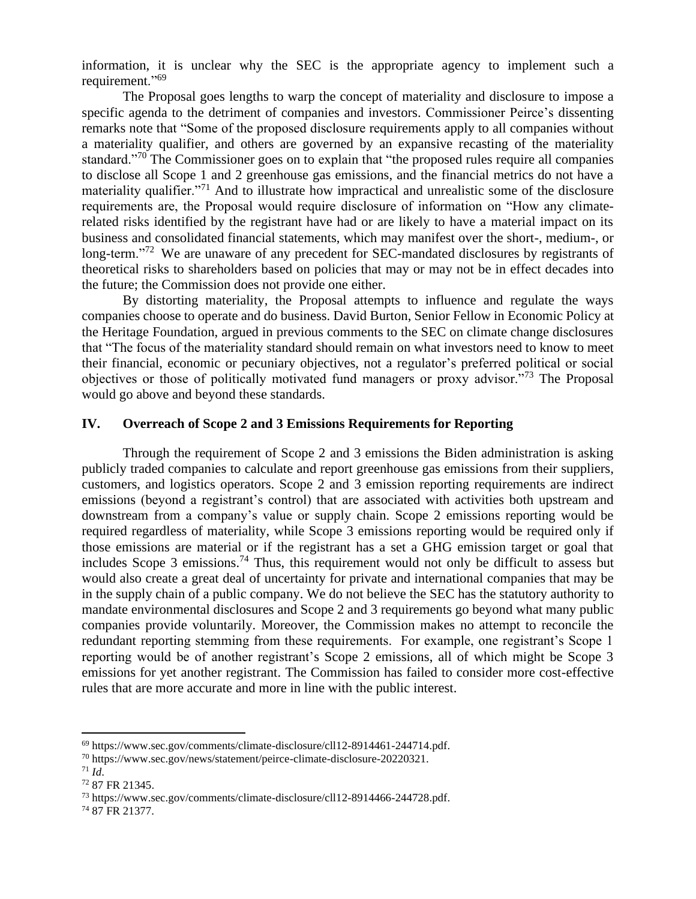information, it is unclear why the SEC is the appropriate agency to implement such a requirement."<sup>69</sup>

The Proposal goes lengths to warp the concept of materiality and disclosure to impose a specific agenda to the detriment of companies and investors. Commissioner Peirce's dissenting remarks note that "Some of the proposed disclosure requirements apply to all companies without a materiality qualifier, and others are governed by an expansive recasting of the materiality standard."<sup>70</sup> The Commissioner goes on to explain that "the proposed rules require all companies" to disclose all Scope 1 and 2 greenhouse gas emissions, and the financial metrics do not have a materiality qualifier."<sup>71</sup> And to illustrate how impractical and unrealistic some of the disclosure requirements are, the Proposal would require disclosure of information on "How any climaterelated risks identified by the registrant have had or are likely to have a material impact on its business and consolidated financial statements, which may manifest over the short-, medium-, or long-term."<sup>72</sup> We are unaware of any precedent for SEC-mandated disclosures by registrants of theoretical risks to shareholders based on policies that may or may not be in effect decades into the future; the Commission does not provide one either.

By distorting materiality, the Proposal attempts to influence and regulate the ways companies choose to operate and do business. David Burton, Senior Fellow in Economic Policy at the Heritage Foundation, argued in previous comments to the SEC on climate change disclosures that "The focus of the materiality standard should remain on what investors need to know to meet their financial, economic or pecuniary objectives, not a regulator's preferred political or social objectives or those of politically motivated fund managers or proxy advisor."<sup>73</sup> The Proposal would go above and beyond these standards.

#### **IV. Overreach of Scope 2 and 3 Emissions Requirements for Reporting**

Through the requirement of Scope 2 and 3 emissions the Biden administration is asking publicly traded companies to calculate and report greenhouse gas emissions from their suppliers, customers, and logistics operators. Scope 2 and 3 emission reporting requirements are indirect emissions (beyond a registrant's control) that are associated with activities both upstream and downstream from a company's value or supply chain. Scope 2 emissions reporting would be required regardless of materiality, while Scope 3 emissions reporting would be required only if those emissions are material or if the registrant has a set a GHG emission target or goal that includes Scope 3 emissions.<sup>74</sup> Thus, this requirement would not only be difficult to assess but would also create a great deal of uncertainty for private and international companies that may be in the supply chain of a public company. We do not believe the SEC has the statutory authority to mandate environmental disclosures and Scope 2 and 3 requirements go beyond what many public companies provide voluntarily. Moreover, the Commission makes no attempt to reconcile the redundant reporting stemming from these requirements. For example, one registrant's Scope 1 reporting would be of another registrant's Scope 2 emissions, all of which might be Scope 3 emissions for yet another registrant. The Commission has failed to consider more cost-effective rules that are more accurate and more in line with the public interest.

<sup>69</sup> https://www.sec.gov/comments/climate-disclosure/cll12-8914461-244714.pdf.

<sup>70</sup> https://www.sec.gov/news/statement/peirce-climate-disclosure-20220321.

 $^{71}$  *Id.* 

<sup>72</sup> 87 FR 21345.

<sup>73</sup> https://www.sec.gov/comments/climate-disclosure/cll12-8914466-244728.pdf.

<sup>74</sup> 87 FR 21377.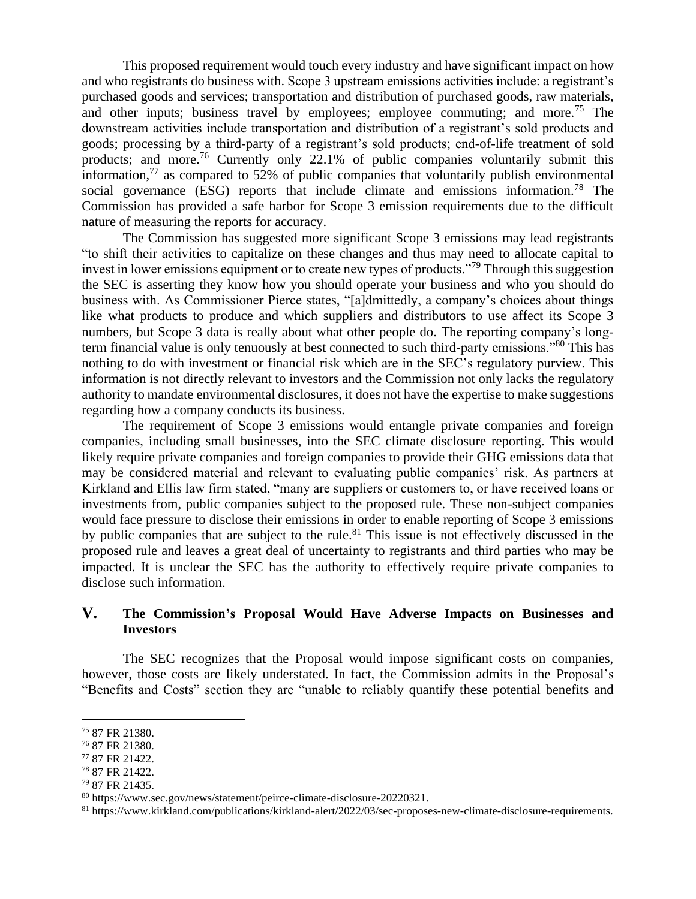This proposed requirement would touch every industry and have significant impact on how and who registrants do business with. Scope 3 upstream emissions activities include: a registrant's purchased goods and services; transportation and distribution of purchased goods, raw materials, and other inputs; business travel by employees; employee commuting; and more.<sup>75</sup> The downstream activities include transportation and distribution of a registrant's sold products and goods; processing by a third-party of a registrant's sold products; end-of-life treatment of sold products; and more.<sup>76</sup> Currently only 22.1% of public companies voluntarily submit this information,<sup>77</sup> as compared to 52% of public companies that voluntarily publish environmental social governance (ESG) reports that include climate and emissions information.<sup>78</sup> The Commission has provided a safe harbor for Scope 3 emission requirements due to the difficult nature of measuring the reports for accuracy.

The Commission has suggested more significant Scope 3 emissions may lead registrants "to shift their activities to capitalize on these changes and thus may need to allocate capital to invest in lower emissions equipment or to create new types of products."<sup>79</sup> Through this suggestion the SEC is asserting they know how you should operate your business and who you should do business with. As Commissioner Pierce states, "[a]dmittedly, a company's choices about things like what products to produce and which suppliers and distributors to use affect its Scope 3 numbers, but Scope 3 data is really about what other people do. The reporting company's longterm financial value is only tenuously at best connected to such third-party emissions."<sup>80</sup> This has nothing to do with investment or financial risk which are in the SEC's regulatory purview. This information is not directly relevant to investors and the Commission not only lacks the regulatory authority to mandate environmental disclosures, it does not have the expertise to make suggestions regarding how a company conducts its business.

The requirement of Scope 3 emissions would entangle private companies and foreign companies, including small businesses, into the SEC climate disclosure reporting. This would likely require private companies and foreign companies to provide their GHG emissions data that may be considered material and relevant to evaluating public companies' risk. As partners at Kirkland and Ellis law firm stated, "many are suppliers or customers to, or have received loans or investments from, public companies subject to the proposed rule. These non-subject companies would face pressure to disclose their emissions in order to enable reporting of Scope 3 emissions by public companies that are subject to the rule.<sup>81</sup> This issue is not effectively discussed in the proposed rule and leaves a great deal of uncertainty to registrants and third parties who may be impacted. It is unclear the SEC has the authority to effectively require private companies to disclose such information.

# **V. The Commission's Proposal Would Have Adverse Impacts on Businesses and Investors**

The SEC recognizes that the Proposal would impose significant costs on companies, however, those costs are likely understated. In fact, the Commission admits in the Proposal's "Benefits and Costs" section they are "unable to reliably quantify these potential benefits and

<sup>75</sup> 87 FR 21380.

<sup>76</sup> 87 FR 21380.

<sup>77</sup> 87 FR 21422.

<sup>78</sup> 87 FR 21422.

<sup>79</sup> 87 FR 21435.

<sup>80</sup> https://www.sec.gov/news/statement/peirce-climate-disclosure-20220321.

<sup>81</sup> https://www.kirkland.com/publications/kirkland-alert/2022/03/sec-proposes-new-climate-disclosure-requirements.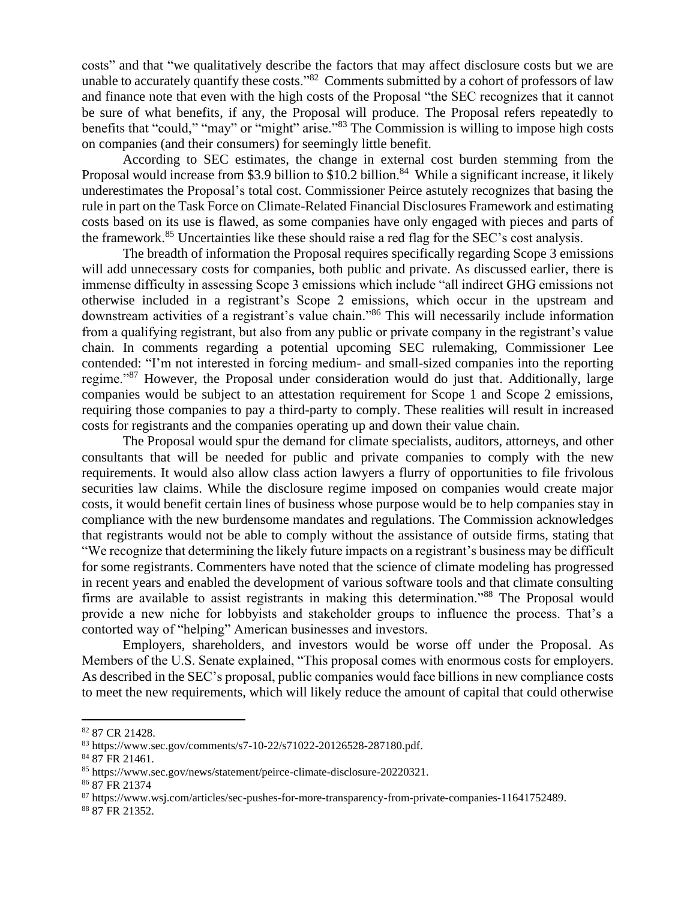costs" and that "we qualitatively describe the factors that may affect disclosure costs but we are unable to accurately quantify these costs."<sup>82</sup> Comments submitted by a cohort of professors of law and finance note that even with the high costs of the Proposal "the SEC recognizes that it cannot be sure of what benefits, if any, the Proposal will produce. The Proposal refers repeatedly to benefits that "could," "may" or "might" arise."<sup>83</sup> The Commission is willing to impose high costs on companies (and their consumers) for seemingly little benefit.

According to SEC estimates, the change in external cost burden stemming from the Proposal would increase from \$3.9 billion to \$10.2 billion.<sup>84</sup> While a significant increase, it likely underestimates the Proposal's total cost. Commissioner Peirce astutely recognizes that basing the rule in part on the Task Force on Climate-Related Financial Disclosures Framework and estimating costs based on its use is flawed, as some companies have only engaged with pieces and parts of the framework.<sup>85</sup> Uncertainties like these should raise a red flag for the SEC's cost analysis.

The breadth of information the Proposal requires specifically regarding Scope 3 emissions will add unnecessary costs for companies, both public and private. As discussed earlier, there is immense difficulty in assessing Scope 3 emissions which include "all indirect GHG emissions not otherwise included in a registrant's Scope 2 emissions, which occur in the upstream and downstream activities of a registrant's value chain." <sup>86</sup> This will necessarily include information from a qualifying registrant, but also from any public or private company in the registrant's value chain. In comments regarding a potential upcoming SEC rulemaking, Commissioner Lee contended: "I'm not interested in forcing medium- and small-sized companies into the reporting regime."<sup>87</sup> However, the Proposal under consideration would do just that. Additionally, large companies would be subject to an attestation requirement for Scope 1 and Scope 2 emissions, requiring those companies to pay a third-party to comply. These realities will result in increased costs for registrants and the companies operating up and down their value chain.

The Proposal would spur the demand for climate specialists, auditors, attorneys, and other consultants that will be needed for public and private companies to comply with the new requirements. It would also allow class action lawyers a flurry of opportunities to file frivolous securities law claims. While the disclosure regime imposed on companies would create major costs, it would benefit certain lines of business whose purpose would be to help companies stay in compliance with the new burdensome mandates and regulations. The Commission acknowledges that registrants would not be able to comply without the assistance of outside firms, stating that "We recognize that determining the likely future impacts on a registrant's business may be difficult for some registrants. Commenters have noted that the science of climate modeling has progressed in recent years and enabled the development of various software tools and that climate consulting firms are available to assist registrants in making this determination."<sup>88</sup> The Proposal would provide a new niche for lobbyists and stakeholder groups to influence the process. That's a contorted way of "helping" American businesses and investors.

Employers, shareholders, and investors would be worse off under the Proposal. As Members of the U.S. Senate explained, "This proposal comes with enormous costs for employers. As described in the SEC's proposal, public companies would face billions in new compliance costs to meet the new requirements, which will likely reduce the amount of capital that could otherwise

<sup>82</sup> 87 CR 21428.

<sup>83</sup> https://www.sec.gov/comments/s7-10-22/s71022-20126528-287180.pdf.

<sup>84</sup> 87 FR 21461.

<sup>85</sup> https://www.sec.gov/news/statement/peirce-climate-disclosure-20220321.

<sup>86</sup> 87 FR 21374

<sup>87</sup> https://www.wsj.com/articles/sec-pushes-for-more-transparency-from-private-companies-11641752489.

<sup>88</sup> 87 FR 21352.